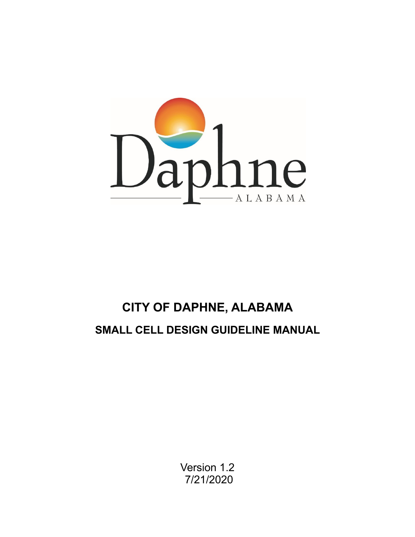

# **CITY OF DAPHNE, ALABAMA SMALL CELL DESIGN GUIDELINE MANUAL**

Version 1.2 7/21/2020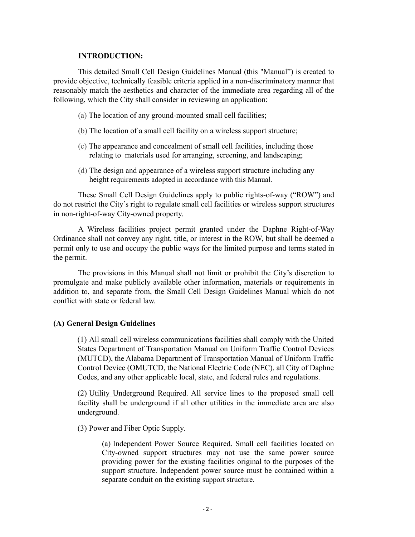# **INTRODUCTION:**

This detailed Small Cell Design Guidelines Manual (this "Manual") is created to provide objective, technically feasible criteria applied in a non-discriminatory manner that reasonably match the aesthetics and character of the immediate area regarding all of the following, which the City shall consider in reviewing an application:

- (a) The location of any ground-mounted small cell facilities;
- (b) The location of a small cell facility on a wireless support structure;
- (c) The appearance and concealment of small cell facilities, including those relating to materials used for arranging, screening, and landscaping;
- (d) The design and appearance of a wireless support structure including any height requirements adopted in accordance with this Manual.

These Small Cell Design Guidelines apply to public rights-of-way ("ROW") and do not restrict the City's right to regulate small cell facilities or wireless support structures in non-right-of-way City-owned property.

A Wireless facilities project permit granted under the Daphne Right-of-Way Ordinance shall not convey any right, title, or interest in the ROW, but shall be deemed a permit only to use and occupy the public ways for the limited purpose and terms stated in the permit.

The provisions in this Manual shall not limit or prohibit the City's discretion to promulgate and make publicly available other information, materials or requirements in addition to, and separate from, the Small Cell Design Guidelines Manual which do not conflict with state or federal law.

# **(A) General Design Guidelines**

(1) All small cell wireless communications facilities shall comply with the United States Department of Transportation Manual on Uniform Traffic Control Devices (MUTCD), the Alabama Department of Transportation Manual of Uniform Traffic Control Device (OMUTCD, the National Electric Code (NEC), all City of Daphne Codes, and any other applicable local, state, and federal rules and regulations.

(2) Utility Underground Required. All service lines to the proposed small cell facility shall be underground if all other utilities in the immediate area are also underground.

(3) Power and Fiber Optic Supply.

(a) Independent Power Source Required. Small cell facilities located on City-owned support structures may not use the same power source providing power for the existing facilities original to the purposes of the support structure. Independent power source must be contained within a separate conduit on the existing support structure.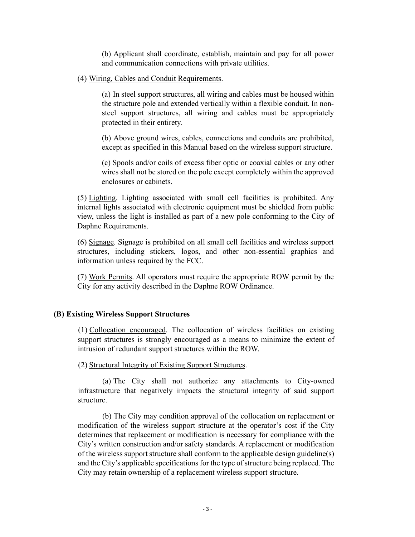(b) Applicant shall coordinate, establish, maintain and pay for all power and communication connections with private utilities.

(4) Wiring, Cables and Conduit Requirements.

(a) In steel support structures, all wiring and cables must be housed within the structure pole and extended vertically within a flexible conduit. In nonsteel support structures, all wiring and cables must be appropriately protected in their entirety.

(b) Above ground wires, cables, connections and conduits are prohibited, except as specified in this Manual based on the wireless support structure.

(c) Spools and/or coils of excess fiber optic or coaxial cables or any other wires shall not be stored on the pole except completely within the approved enclosures or cabinets.

(5) Lighting. Lighting associated with small cell facilities is prohibited. Any internal lights associated with electronic equipment must be shielded from public view, unless the light is installed as part of a new pole conforming to the City of Daphne Requirements.

(6) Signage. Signage is prohibited on all small cell facilities and wireless support structures, including stickers, logos, and other non-essential graphics and information unless required by the FCC.

(7) Work Permits. All operators must require the appropriate ROW permit by the City for any activity described in the Daphne ROW Ordinance.

# **(B) Existing Wireless Support Structures**

(1) Collocation encouraged. The collocation of wireless facilities on existing support structures is strongly encouraged as a means to minimize the extent of intrusion of redundant support structures within the ROW.

(2) Structural Integrity of Existing Support Structures.

(a) The City shall not authorize any attachments to City-owned infrastructure that negatively impacts the structural integrity of said support structure.

(b) The City may condition approval of the collocation on replacement or modification of the wireless support structure at the operator's cost if the City determines that replacement or modification is necessary for compliance with the City's written construction and/or safety standards. A replacement or modification of the wireless support structure shall conform to the applicable design guideline(s) and the City's applicable specifications for the type of structure being replaced. The City may retain ownership of a replacement wireless support structure.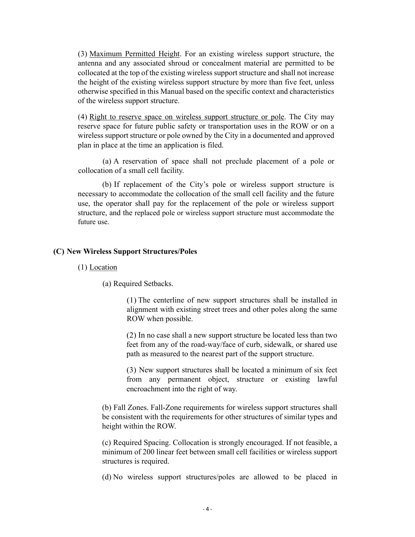(3) Maximum Permitted Height. For an existing wireless support structure, the antenna and any associated shroud or concealment material are permitted to be collocated at the top of the existing wireless support structure and shall not increase the height of the existing wireless support structure by more than five feet, unless otherwise specified in this Manual based on the specific context and characteristics of the wireless support structure.

(4) Right to reserve space on wireless support structure or pole. The City may reserve space for future public safety or transportation uses in the ROW or on a wireless support structure or pole owned by the City in a documented and approved plan in place at the time an application is filed.

(a) A reservation of space shall not preclude placement of a pole or collocation of a small cell facility.

(b) If replacement of the City's pole or wireless support structure is necessary to accommodate the collocation of the small cell facility and the future use, the operator shall pay for the replacement of the pole or wireless support structure, and the replaced pole or wireless support structure must accommodate the future use.

#### **(C) New Wireless Support Structures/Poles**

(1) Location

(a) Required Setbacks.

(1) The centerline of new support structures shall be installed in alignment with existing street trees and other poles along the same ROW when possible.

(2) In no case shall a new support structure be located less than two feet from any of the road-way/face of curb, sidewalk, or shared use path as measured to the nearest part of the support structure.

(3) New support structures shall be located a minimum of six feet from any permanent object, structure or existing lawful encroachment into the right of way.

(b) Fall Zones. Fall-Zone requirements for wireless support structures shall be consistent with the requirements for other structures of similar types and height within the ROW.

(c) Required Spacing. Collocation is strongly encouraged. If not feasible, a minimum of 200 linear feet between small cell facilities or wireless support structures is required.

(d) No wireless support structures/poles are allowed to be placed in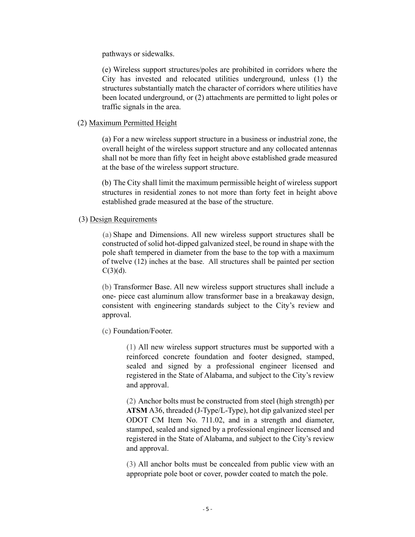pathways or sidewalks.

(e) Wireless support structures/poles are prohibited in corridors where the City has invested and relocated utilities underground, unless (1) the structures substantially match the character of corridors where utilities have been located underground, or (2) attachments are permitted to light poles or traffic signals in the area.

### (2) Maximum Permitted Height

(a) For a new wireless support structure in a business or industrial zone, the overall height of the wireless support structure and any collocated antennas shall not be more than fifty feet in height above established grade measured at the base of the wireless support structure.

(b) The City shall limit the maximum permissible height of wireless support structures in residential zones to not more than forty feet in height above established grade measured at the base of the structure.

#### (3) Design Requirements

(a) Shape and Dimensions. All new wireless support structures shall be constructed of solid hot-dipped galvanized steel, be round in shape with the pole shaft tempered in diameter from the base to the top with a maximum of twelve (12) inches at the base. All structures shall be painted per section  $C(3)(d)$ .

(b) Transformer Base. All new wireless support structures shall include a one- piece cast aluminum allow transformer base in a breakaway design, consistent with engineering standards subject to the City's review and approval.

(c) Foundation/Footer.

(1) All new wireless support structures must be supported with a reinforced concrete foundation and footer designed, stamped, sealed and signed by a professional engineer licensed and registered in the State of Alabama, and subject to the City's review and approval.

(2) Anchor bolts must be constructed from steel (high strength) per **ATSM** A36, threaded (J-Type/L-Type), hot dip galvanized steel per ODOT CM Item No. 711.02, and in a strength and diameter, stamped, sealed and signed by a professional engineer licensed and registered in the State of Alabama, and subject to the City's review and approval.

(3) All anchor bolts must be concealed from public view with an appropriate pole boot or cover, powder coated to match the pole.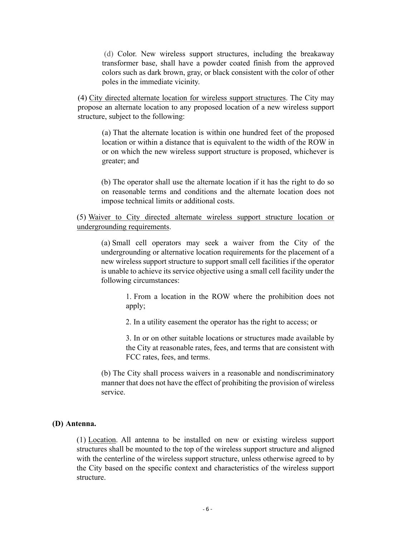(d) Color. New wireless support structures, including the breakaway transformer base, shall have a powder coated finish from the approved colors such as dark brown, gray, or black consistent with the color of other poles in the immediate vicinity.

(4) City directed alternate location for wireless support structures. The City may propose an alternate location to any proposed location of a new wireless support structure, subject to the following:

(a) That the alternate location is within one hundred feet of the proposed location or within a distance that is equivalent to the width of the ROW in or on which the new wireless support structure is proposed, whichever is greater; and

(b) The operator shall use the alternate location if it has the right to do so on reasonable terms and conditions and the alternate location does not impose technical limits or additional costs.

(5) Waiver to City directed alternate wireless support structure location or undergrounding requirements.

(a) Small cell operators may seek a waiver from the City of the undergrounding or alternative location requirements for the placement of a new wireless support structure to support small cell facilities if the operator is unable to achieve its service objective using a small cell facility under the following circumstances:

> 1. From a location in the ROW where the prohibition does not apply;

2. In a utility easement the operator has the right to access; or

3. In or on other suitable locations or structures made available by the City at reasonable rates, fees, and terms that are consistent with FCC rates, fees, and terms.

(b) The City shall process waivers in a reasonable and nondiscriminatory manner that does not have the effect of prohibiting the provision of wireless service.

#### **(D) Antenna.**

(1) Location. All antenna to be installed on new or existing wireless support structures shall be mounted to the top of the wireless support structure and aligned with the centerline of the wireless support structure, unless otherwise agreed to by the City based on the specific context and characteristics of the wireless support structure.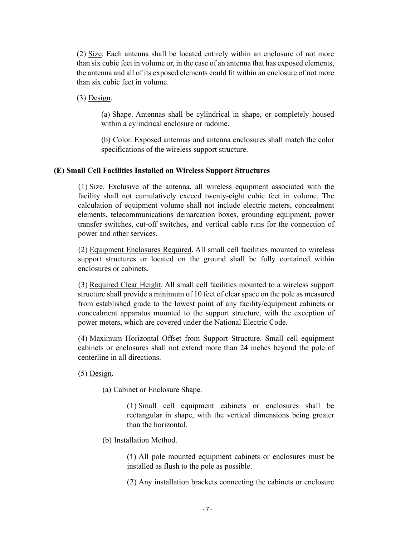(2) Size. Each antenna shall be located entirely within an enclosure of not more than six cubic feet in volume or, in the case of an antenna that has exposed elements, the antenna and all of its exposed elements could fit within an enclosure of not more than six cubic feet in volume.

(3) Design.

(a) Shape. Antennas shall be cylindrical in shape, or completely housed within a cylindrical enclosure or radome.

(b) Color. Exposed antennas and antenna enclosures shall match the color specifications of the wireless support structure.

# **(E) Small Cell Facilities Installed on Wireless Support Structures**

(1) Size. Exclusive of the antenna, all wireless equipment associated with the facility shall not cumulatively exceed twenty-eight cubic feet in volume. The calculation of equipment volume shall not include electric meters, concealment elements, telecommunications demarcation boxes, grounding equipment, power transfer switches, cut-off switches, and vertical cable runs for the connection of power and other services.

(2) Equipment Enclosures Required. All small cell facilities mounted to wireless support structures or located on the ground shall be fully contained within enclosures or cabinets.

(3) Required Clear Height. All small cell facilities mounted to a wireless support structure shall provide a minimum of 10 feet of clear space on the pole as measured from established grade to the lowest point of any facility/equipment cabinets or concealment apparatus mounted to the support structure, with the exception of power meters, which are covered under the National Electric Code.

(4) Maximum Horizontal Offset from Support Structure. Small cell equipment cabinets or enclosures shall not extend more than 24 inches beyond the pole of centerline in all directions.

(5) Design.

(a) Cabinet or Enclosure Shape.

(1) Small cell equipment cabinets or enclosures shall be rectangular in shape, with the vertical dimensions being greater than the horizontal.

(b) Installation Method.

(1) All pole mounted equipment cabinets or enclosures must be installed as flush to the pole as possible.

(2) Any installation brackets connecting the cabinets or enclosure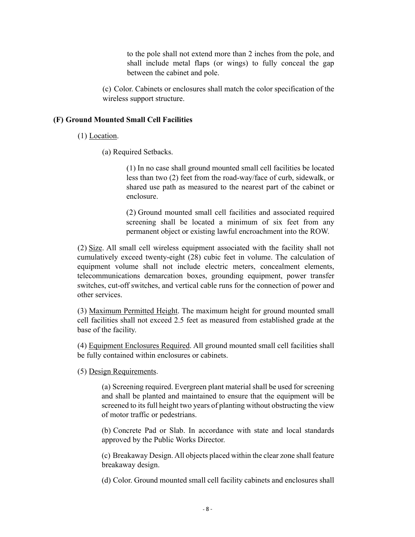to the pole shall not extend more than 2 inches from the pole, and shall include metal flaps (or wings) to fully conceal the gap between the cabinet and pole.

(c) Color. Cabinets or enclosures shall match the color specification of the wireless support structure.

# **(F) Ground Mounted Small Cell Facilities**

(1) Location.

(a) Required Setbacks.

(1) In no case shall ground mounted small cell facilities be located less than two (2) feet from the road-way/face of curb, sidewalk, or shared use path as measured to the nearest part of the cabinet or enclosure.

(2) Ground mounted small cell facilities and associated required screening shall be located a minimum of six feet from any permanent object or existing lawful encroachment into the ROW.

(2) Size. All small cell wireless equipment associated with the facility shall not cumulatively exceed twenty-eight (28) cubic feet in volume. The calculation of equipment volume shall not include electric meters, concealment elements, telecommunications demarcation boxes, grounding equipment, power transfer switches, cut-off switches, and vertical cable runs for the connection of power and other services.

(3) Maximum Permitted Height. The maximum height for ground mounted small cell facilities shall not exceed 2.5 feet as measured from established grade at the base of the facility.

(4) Equipment Enclosures Required. All ground mounted small cell facilities shall be fully contained within enclosures or cabinets.

(5) Design Requirements.

(a) Screening required. Evergreen plant material shall be used for screening and shall be planted and maintained to ensure that the equipment will be screened to its full height two years of planting without obstructing the view of motor traffic or pedestrians.

(b) Concrete Pad or Slab. In accordance with state and local standards approved by the Public Works Director.

(c) Breakaway Design. All objects placed within the clear zone shall feature breakaway design.

(d) Color. Ground mounted small cell facility cabinets and enclosures shall